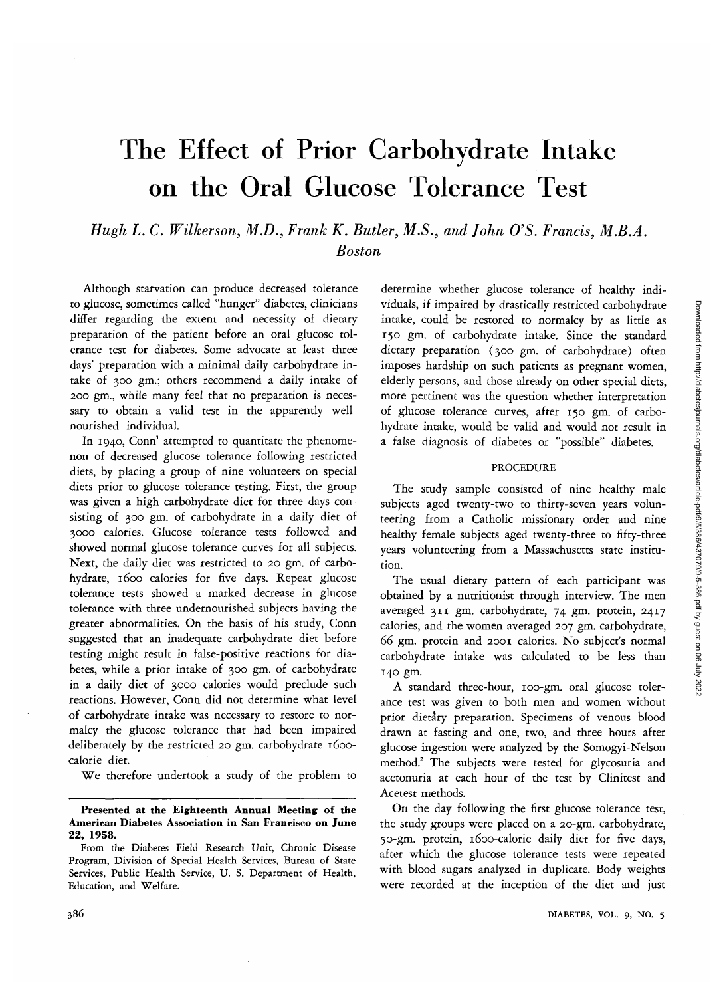# The Effect of Prior Carbohydrate Intake on the Oral Glucose Tolerance Test

*Hugh L. C. Wilkerson, M.D., Frank K. Butler, M.S., and John O'S. Francis, M.B.A. Boston*

Although starvation can produce decreased tolerance to glucose, sometimes called "hunger" diabetes, clinicians differ regarding the extent and necessity of dietary preparation of the patient before an oral glucose tolerance test for diabetes. Some advocate at least three days' preparation with a minimal daily carbohydrate intake of 300 gm.; others recommend a daily intake of 200 gm., while many feel that no preparation is necessary to obtain a valid test in the apparently wellnourished individual.

In 1940, Conn<sup>1</sup> attempted to quantitate the phenomenon of decreased glucose tolerance following restricted diets, by placing a group of nine volunteers on special diets prior to glucose tolerance testing. First, the group was given a high carbohydrate diet for three days consisting of 300 gm. of carbohydrate in a daily diet of 3000 calories. Glucose tolerance tests followed and showed normal glucose tolerance curves for all subjects. Next, the daily diet was restricted to 20 gm. of carbohydrate, 1600 calories for five days. Repeat glucose tolerance tests showed a marked decrease in glucose tolerance with three undernourished subjects having the greater abnormalities. On the basis of his study, Conn suggested that an inadequate carbohydrate diet before testing might result in false-positive reactions for diabetes, while a prior intake of 300 gm. of carbohydrate in a daily diet of 3000 calories would preclude such reactions. However, Conn did not determine what level of carbohydrate intake was necessary to restore to normalcy the glucose tolerance that had been impaired deliberately by the restricted 20 gm. carbohydrate 1600 calorie diet.

We therefore undertook a study of the problem to

determine whether glucose tolerance of healthy individuals, if impaired by drastically restricted carbohydrate intake, could be restored to normalcy by as little as 150 gm. of carbohydrate intake. Since the standard dietary preparation (300 gm. of carbohydrate) often imposes hardship on such patients as pregnant women, elderly persons, and those already on other special diets, more pertinent was the question whether interpretation of glucose tolerance curves, after 150 gm. of carbohydrate intake, would be valid and would not result in a false diagnosis of diabetes or "possible" diabetes.

#### PROCEDURE

The study sample consisted of nine healthy male subjects aged twenty-two to thirty-seven years volunteering from a Catholic missionary order and nine healthy female subjects aged twenty-three to fifty-three years volunteering from a Massachusetts state institution.

The usual dietary pattern of each participant was obtained by a nutritionist through interview. The men averaged 311 gm. carbohydrate, 74 gm. protein, 2417 calories, and the women averaged 207 gm. carbohydrate, *66* gm. protein and 2001 calories. No subject's normal carbohydrate intake was calculated to be less than 140 gm.

A standard three-hour, 100-gm. oral glucose tolerance test was given to both men and women without prior dietary preparation. Specimens of venous blood drawn at fasting and one, two, and three hours after glucose ingestion were analyzed by the Somogyi-Nelson method.2 The subjects were tested for glycosuria and acetonuria at each hour of the test by Clinitest and Acetest methods.

On the day following the first glucose tolerance test, the study groups were placed on a 20-gm. carbohydrate, 50-gm. protein, 1600-calorie daily diet for five days, after which the glucose tolerance tests were repeated with blood sugars analyzed in duplicate. Body weights were recorded at the inception of the diet and just

Presented at the Eighteenth Annual Meeting of the American Diabetes Association in San Francisco on June 22, 1958.

From the Diabetes Field Research Unit, Chronic Disease Program, Division of Special Health Services, Bureau of State Services, Public Health Service, U. S. Department of Health, Education, and Welfare.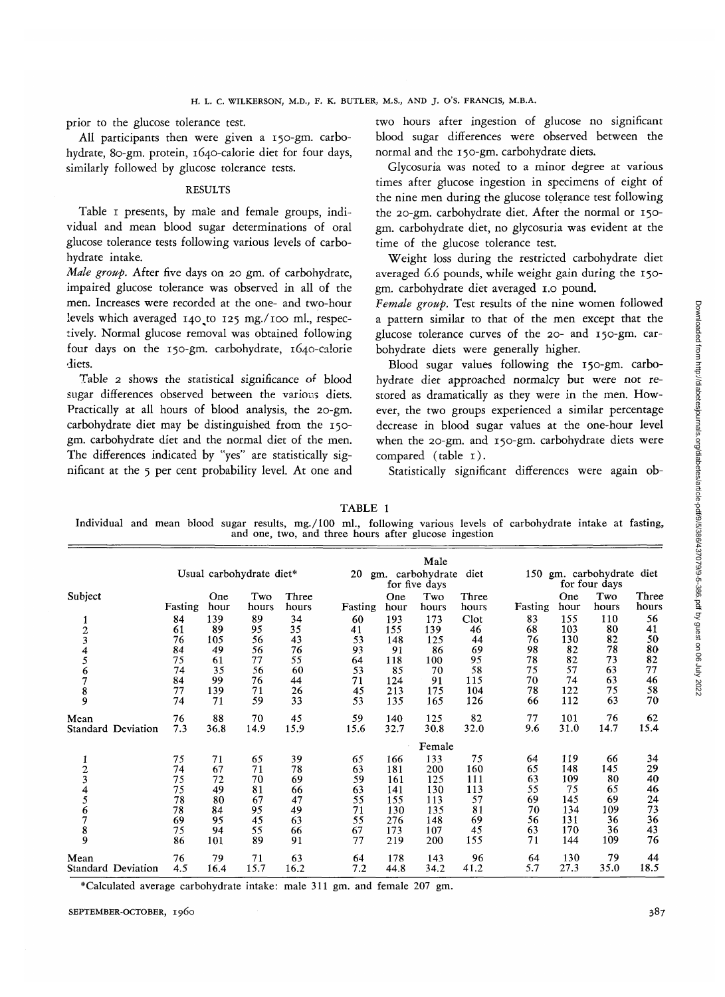prior to the glucose tolerance test.

All participants then were given a 150-gm. carbohydrate, 80-gm. protein, 1640-calorie diet for four days, similarly followed by glucose tolerance tests.

### RESULTS

Table 1 presents, by male and female groups, individual and mean blood sugar determinations of oral glucose tolerance tests following various levels of carbohydrate intake.

*Male group.* After five days on 20 gm. of carbohydrate, impaired glucose tolerance was observed in all of the men. Increases were recorded at the one- and two-hour levels which averaged 140 to 125 mg./100 ml., respectively. Normal glucose removal was obtained following four days on the 150-gm. carbohydrate, 1640-calorie diets.

Table 2 shows the statistical significance of blood sugar differences observed between the various diets. Practically at all hours of blood analysis, the 20-gm. carbohydrate diet may be distinguished from the 150 gm. carbohydrate diet and the normal diet of the men. The differences indicated by "yes" are statistically significant at the 5 per cent probability level. At one and

two hours after ingestion of glucose no significant blood sugar differences were observed between the normal and the 150-gm. carbohydrate diets.

Glycosuria was noted to a minor degree at various times after glucose ingestion in specimens of eight of the nine men during the glucose tolerance test following the 20-gm. carbohydrate diet. After the normal or 150 gm. carbohydrate diet, no glycosuria was evident at the time of the glucose tolerance test.

Weight loss during the restricted carbohydrate diet averaged *6.6* pounds, while weight gain during the 150 gm. carbohydrate diet averaged 1.0 pound.

*Female group.* Test results of the nine women followed a pattern similar to that of the men except that the glucose tolerance curves of the 20- and 150-gm. carbohydrate diets were generally higher.

Blood sugar values following the 150-gm. carbohydrate diet approached normalcy but were not restored as dramatically as they were in the men. However, the two groups experienced a similar percentage decrease in blood sugar values at the one-hour level when the 20-gm. and 150-gm. carbohydrate diets were compared (table 1).

Statistically significant differences were again ob-

TABLE 1

Individual and mean blood sugar results, mg./lOO ml., following various levels of carbohydrate intake at fasting, and one, two, and three hours after glucose ingestion

|                           | Usual carbohydrate diet* |             |              |                | Male<br>20<br>gm. carbohydrate<br>diet |             |              |                | gm. carbohydrate diet<br>150 |             |              |                |
|---------------------------|--------------------------|-------------|--------------|----------------|----------------------------------------|-------------|--------------|----------------|------------------------------|-------------|--------------|----------------|
|                           |                          |             |              | for five days  |                                        |             |              |                | for four days                |             |              |                |
| Subject                   | Fasting                  | One<br>hour | Two<br>hours | Three<br>hours | Fasting                                | One<br>hour | Two<br>hours | Three<br>hours | Fasting                      | One<br>hour | Two<br>hours | Three<br>hours |
| 1                         | 84                       | 139         | 89           | 34             | 60                                     | 193         | 173          | Clot           | 83                           | 155         | 110          | 56             |
|                           | 61                       | 89          | 95           | 35             | 41                                     | 155         | 139          | 46             | 68                           | 103         | 80           | 41             |
| $\frac{2}{3}$             | 76                       | 105         | 56           | 43             | 53                                     | 148         | 125          | 44             | 76                           | 130         | 82           | 50             |
|                           | 84                       | 49          | 56           | 76             | 93                                     | 91          | 86           | 69             | 98                           | 82          | 78           | 80             |
| 4<br>5                    | 75                       | 61          | 77           | 55             | 64                                     | 118         | 100          | 95             | 78                           | 82          | 73           | 82             |
|                           | 74                       | 35          | 56           | 60             | 53                                     | 85          | 70           | 58             | 75                           | 57          | 63           | 77             |
|                           | 84                       | 99          | 76           | 44             | 71                                     | 124         | 91           | 115            | 70                           | 74          | 63           | 46             |
|                           | 77                       | 139         | 71           | 26             | 45                                     | 213         | 175          | 104            | 78                           | 122         | 75           | 58             |
| 6789                      | 74                       | 71          | 59           | 33             | 53                                     | 135         | 165          | 126            | 66                           | 112         | 63           | 70             |
| Mean                      | 76                       | 88          | 70           | 45             | 59                                     | 140         | 125          | 82             | 77                           | 101         | 76           | 62             |
| <b>Standard Deviation</b> | 7.3                      | 36.8        | 14.9         | 15.9           | 15.6                                   | 32.7        | 30.8         | 32.0           | 9.6                          | 31.0        | 14.7         | 15.4           |
|                           |                          |             |              |                |                                        |             | Female       |                |                              |             |              |                |
| 1                         | 75                       | 71          | 65           | 39             | 65                                     | 166         | 133          | 75             | 64                           | 119         | 66           | 34             |
|                           | 74                       | 67          | 71           | 78             | 63                                     | 181         | 200          | 160            | 65                           | 148         | 145          | 29             |
| $\frac{2}{3}$             | 75                       | 72          | 70           | 69             | 59                                     | 161         | 125          | 111            | 63                           | 109         | 80           | 40             |
| $\frac{4}{5}$             | 75                       | 49          | 81           | 66             | 63                                     | 141         | 130          | 113            | 55                           | 75          | 65           | 46             |
|                           | 78                       | 80          | 67           | 47             | 55                                     | 155         | 113          | 57             | 69                           | 145         | 69           | 24             |
|                           | 78                       | 84          | 95           | 49             | 71                                     | 130         | 135          | 81             | 70                           | 134         | 109          | 73             |
| 6789                      | 69                       | 95          | 45           | 63             | 55                                     | 276         | 148          | 69             | 56                           | 131         | 36           | 36             |
|                           | 75                       | 94          | 55           | 66             | 67                                     | 173         | 107          | 45             | 63                           | 170         | 36           | 43             |
|                           | 86                       | 101         | 89           | 91             | 77                                     | 219         | 200          | 155            | 71                           | 144         | 109          | 76             |
| Mean                      | 76                       | 79          | 71           | 63             | 64                                     | 178         | 143          | 96             | 64                           | 130         | 79           | 44             |
| Standard Deviation        | 4.5                      | 16.4        | 15.7         | 16.2           | 7.2                                    | 44.8        | 34.2         | 41.2           | 5.7                          | 27.3        | 35.0         | 18.5           |

\* Calculated average carbohydrate intake: male 311 gm. and female 207 gm.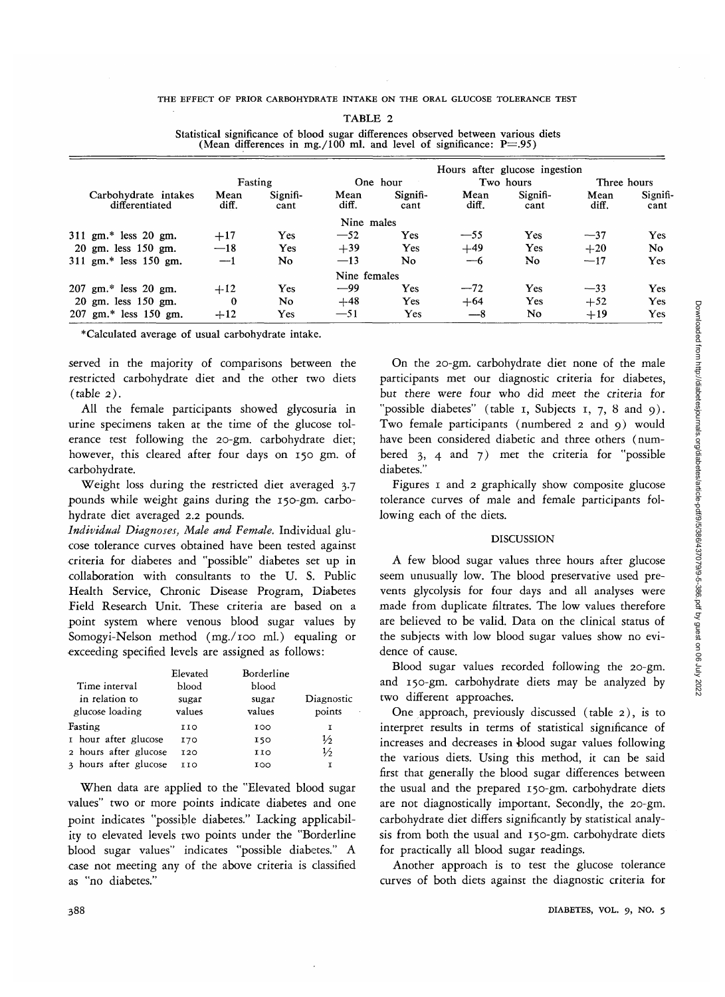THE EFFECT OF PRIOR CARBOHYDRATE INTAKE ON THE ORAL GLUCOSE TOLERANCE TEST

|                                           |                               |                  |               |                  | (Mean differences in mg./100 ml. and level of significance: $P = .95$ ) |                  |               |                  |
|-------------------------------------------|-------------------------------|------------------|---------------|------------------|-------------------------------------------------------------------------|------------------|---------------|------------------|
|                                           | Hours after glucose ingestion |                  |               |                  |                                                                         |                  |               |                  |
| Fasting                                   |                               |                  | One hour      |                  |                                                                         | Two hours        | Three hours   |                  |
| Carbohydrate intakes<br>differentiated    | Mean<br>diff.                 | Signifi-<br>cant | Mean<br>diff. | Signifi-<br>cant | Mean<br>diff.                                                           | Signifi-<br>cant | Mean<br>diff. | Signifi-<br>cant |
|                                           |                               |                  | Nine males    |                  |                                                                         |                  |               |                  |
| 311 gm.* less 20 gm.                      | $+17$                         | Yes              | $-52$         | <b>Yes</b>       | $-55$                                                                   | <b>Yes</b>       | $-37$         | Yes              |
| $20 \text{ gm}$ . less $150 \text{ gm}$ . | $-18$                         | <b>Yes</b>       | $+39$         | Yes              | $+49$                                                                   | <b>Yes</b>       | $+20$         | No               |
| 311 gm.* less 150 gm.                     | $-1$                          | No.              | $-13$         | No               | —6                                                                      | No               | $-17$         | <b>Yes</b>       |
|                                           |                               |                  | Nine females  |                  |                                                                         |                  |               |                  |
| 207 gm.* less 20 gm.                      | $+12$                         | Yes              | $-99$         | <b>Yes</b>       | $-72$                                                                   | <b>Yes</b>       | $-33$         | <b>Yes</b>       |
| $20 \text{ gm}$ . less $150 \text{ gm}$ . | 0                             | No               | $+48$         | Yes.             | $+64$                                                                   | <b>Yes</b>       | $+52$         | Yes              |
| 207 gm.* less 150 gm.                     | $+12$                         | Yes              | $-51$         | Yes              | $-8$                                                                    | No               | $+19$         | <b>Yes</b>       |

TABLE 2 Statistical significance of blood sugar differences observed between various diets

\*Calculated average of usual carbohydrate intake.

served in the majority of comparisons between the restricted carbohydrate diet and the other two diets (table 2).

All the female participants showed glycosuria in urine specimens taken at the time of the glucose tolerance test following the 20-gm. carbohydrate diet; however, this cleared after four days on 150 gm. of carbohydrate.

Weight loss during the restricted diet averaged 3.7 pounds while weight gains during the 150-gm. carbohydrate diet averaged 2.2 pounds.

*Individual Diagnoses, Male and Female.* Individual glucose tolerance curves obtained have been tested against criteria for diabetes and "possible" diabetes set up in collaboration with consultants to the U. S. Public Health Service, Chronic Disease Program, Diabetes field Research Unit. These criteria are based on a point system where venous blood sugar values by Somogyi-Nelson method (mg./ioo ml.) equaling or exceeding specified levels are assigned as follows:

|                       | Elevated   | Borderline |               |
|-----------------------|------------|------------|---------------|
| Time interval         | blood      | blood      |               |
| in relation to        | sugar      | sugar      | Diagnostic    |
| glucose loading       | values     | values     | points        |
| Fasting               | 110        | 100        | r             |
| I hour after glucose  | <b>170</b> | 150        | $\frac{1}{2}$ |
| 2 hours after glucose | 120        | 110        | $\frac{1}{2}$ |
| 3 hours after glucose | 110        | 100        | т             |

When data are applied to the "Elevated blood sugar values" two or more points indicate diabetes and one point indicates "possible diabetes." Lacking applicability to elevated levels two points under the "Borderline blood sugar values" indicates "possible diabetes." A case not meeting any of the above criteria is classified as "no diabetes."

On the 20-gm. carbohydrate diet none of the male participants met our diagnostic criteria for diabetes, but there were four who did meet the criteria for "possible diabetes" (table  $\overline{1}$ , Subjects  $\overline{1}$ ,  $\overline{7}$ , 8 and 9). Two female participants (numbered 2 and 9) would have been considered diabetic and three others (numbered 3, 4 and 7) met the criteria for "possible diabetes."

Figures 1 and 2 graphically show composite glucose tolerance curves of male and female participants following each of the diets.

### DISCUSSION

A few blood sugar values three hours after glucose seem unusually low. The blood preservative used prevents glycolysis for four days and all analyses were made from duplicate filtrates. The low values therefore are believed to be valid. Data on the clinical status of the subjects with low blood sugar values show no evidence of cause.

Blood sugar values recorded following the 20-gm. and 150-gm. carbohydrate diets may be analyzed by two different approaches.

One approach, previously discussed (table 2), is to interpret results in terms of statistical significance of increases and decreases in blood sugar values following the various diets. Using this method, it can be said first that generally the blood sugar differences between the usual and the prepared 150-gm. carbohydrate diets are not diagnostically important. Secondly, the 20-gm. carbohydrate diet differs significantly by statistical analysis from both the usual and 150-gm. carbohydrate diets for practically all blood sugar readings.

Another approach is to test the glucose tolerance curves of both diets against the diagnostic criteria for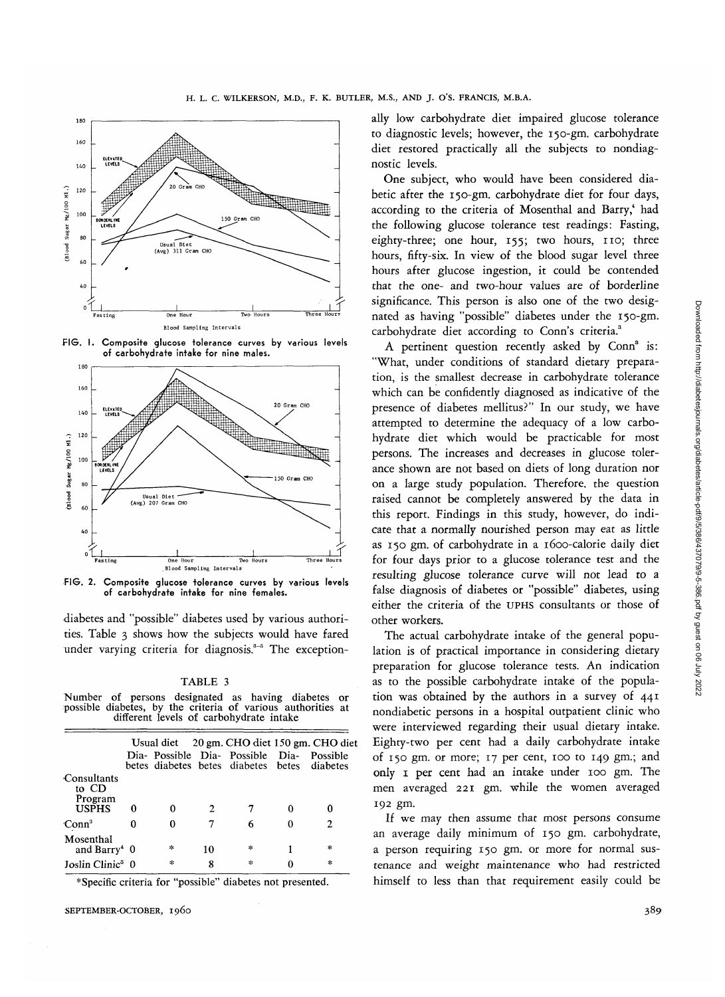

FIG. I. Composite glucose tolerance curves by various levels of carbohydrate intake for nine males.



FIG. 2. Composite glucose tolerance curves by various levels of carbohydrate intake for nine females.

diabetes and "possible" diabetes used by various authorities. Table 3 shows how the subjects would have fared under varying criteria for diagnosis.<sup>3-5</sup> The exception-

#### TABLE 3

Number of persons designated as having diabetes or possible diabetes, by the criteria of various authorities at different levels of carbohydrate intake

|                                                 |   |               |    | Usual diet $20 \text{ gm}$ . CHO diet 150 gm. CHO diet                           |               |  |
|-------------------------------------------------|---|---------------|----|----------------------------------------------------------------------------------|---------------|--|
|                                                 |   |               |    | Dia- Possible Dia- Possible Dia-<br>betes diabetes betes diabetes betes diabetes | Possible      |  |
| Consultants<br>to CD<br>Program<br><b>USPHS</b> | 0 | 0             | 2  |                                                                                  |               |  |
| Conn <sup>3</sup>                               |   | 0             |    | 6                                                                                | 2             |  |
| Mosenthal<br>and Barry <sup>4</sup> $0$         |   | 冰             | 10 | 氺                                                                                | 宋             |  |
| Joslin Clinic <sup>5</sup> 0                    |   | $\mathcal{A}$ | 8  | $\mathcal{A}$                                                                    | $\mathcal{H}$ |  |

\* Specific criteria for "possible" diabetes not presented.

SEPTEMBER-OCTOBER, 1960 389

ally low carbohydrate diet impaired glucose tolerance to diagnostic levels; however, the 150-gm. carbohydrate diet restored practically all the subjects to nondiagnostic levels.

One subject, who would have been considered diabetic after the 150-gm. carbohydrate diet for four days, according to the criteria of Mosenthal and Barry,4 had the following glucose tolerance test readings: Fasting, eighty-three; one hour, 155; two hours, 110; three hours, fifty-six. In view of the blood sugar level three hours after glucose ingestion, it could be contended that the one- and two-hour values are of borderline significance. This person is also one of the two designated as having "possible" diabetes under the 150-gm. carbohydrate diet according to Conn's criteria.<sup>3</sup>

A pertinent question recently asked by Conn<sup>3</sup> is: "What, under conditions of standard dietary preparation, is the smallest decrease in carbohydrate tolerance which can be confidently diagnosed as indicative of the presence of diabetes mellitus?" In our study, we have attempted to determine the adequacy of a low carbohydrate diet which would be practicable for most persons. The increases and decreases in glucose tolerance shown are not based on diets of long duration nor on a large study population. Therefore, the question raised cannot be completely answered by the data in this report. Findings in this study, however, do indicate that a normally nourished person may eat as little as 150 gm. of carbohydrate in a 1600-calorie daily diet for four days prior to a glucose tolerance test and the resulting glucose tolerance curve will not lead to a false diagnosis of diabetes or "possible" diabetes, using either the criteria of the UPHS consultants or those of other workers.

The actual carbohydrate intake of the general population is of practical importance in considering dietary preparation for glucose tolerance tests. An indication as to the possible carbohydrate intake of the population was obtained by the authors in a survey of 441 nondiabetic persons in a hospital outpatient clinic who were interviewed regarding their usual dietary intake. Eighty-two per cent had a daily carbohydrate intake of 150 gm. or more; 17 per cent, 100 to 149 gm.; and only 1 per cent had an intake under 100 gm. The men averaged 221 gm. while the women averaged 192 gm.

If we may then assume that most persons consume an average daily minimum of 150 gm. carbohydrate, a person requiring 150 gm. or more for normal sustenance and weight maintenance who had restricted himself to less than that requirement easily could be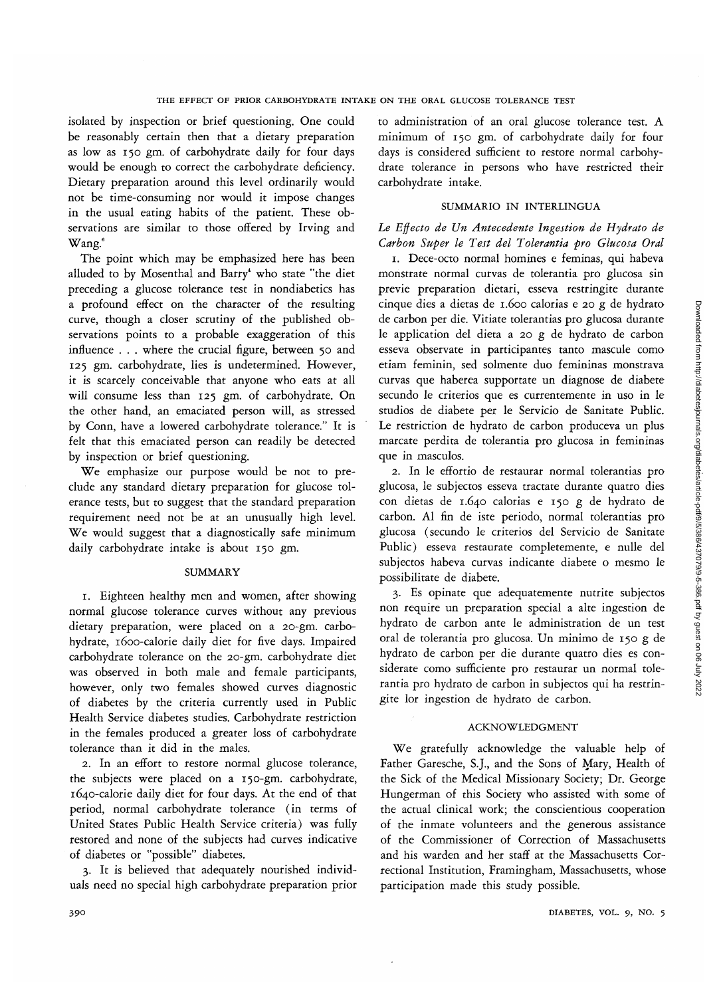isolated by inspection or brief questioning. One could be reasonably certain then that a dietary preparation as low as 150 gm. of carbohydrate daily for four days would be enough to correct the carbohydrate deficiency. Dietary preparation around this level ordinarily would not be time-consuming nor would it impose changes in the usual eating habits of the patient. These observations are similar to those offered by Irving and Wang.<sup>6</sup>

The point which may be emphasized here has been alluded to by Mosenthal and Barry<sup>4</sup> who state "the diet preceding a glucose tolerance test in nondiabetics has a profound effect on the character of the resulting curve, though a closer scrutiny of the published observations points to a probable exaggeration of this influence . . . where the crucial figure, between 50 and 125 gm. carbohydrate, lies is undetermined. However, it is scarcely conceivable that anyone who eats at all will consume less than 125 gm. of carbohydrate. On the other hand, an emaciated person will, as stressed by Conn, have a lowered carbohydrate tolerance." It is felt that this emaciated person can readily be detected by inspection or brief questioning.

We emphasize our purpose would be not to preclude any standard dietary preparation for glucose tolerance tests, but to suggest that the standard preparation requirement need not be at an unusually high level. We would suggest that a diagnostically safe minimum daily carbohydrate intake is about 150 gm.

## SUMMARY

1. Eighteen healthy men and women, after showing normal glucose tolerance curves without any previous dietary preparation, were placed on a 20-gm. carbohydrate, 1600-calorie daily diet for five days. Impaired carbohydrate tolerance on the 20-gm. carbohydrate diet was observed in both male and female participants, however, only two females showed curves diagnostic of diabetes by the criteria currently used in Public Health Service diabetes studies. Carbohydrate restriction in the females produced a greater loss of carbohydrate tolerance than it did in the males.

2. In an effort to restore normal glucose tolerance, the subjects were placed on a 150-gm. carbohydrate, 1640-calorie daily diet for four days. At the end of that period, normal carbohydrate tolerance (in terms of United States Public Health Service criteria) was fully restored and none of the subjects had curves indicative of diabetes or "possible" diabetes.

3. It is believed that adequately nourished individuals need no special high carbohydrate preparation prior

to administration of an oral glucose tolerance test. A minimum of 150 gm. of carbohydrate daily for four days is considered sufficient to restore normal carbohydrate tolerance in persons who have restricted their carbohydrate intake.

# SUMMARIO IN INTERLINGUA

*Le Effecto de Un Antecedente Ingestion de Hydrato de Carbon Super le Test del Tolerantia pro Glucosa Oral*

1. Dece-octo normal homines e feminas, qui habeva monstrate normal curvas de tolerantia pro glucosa sin previe preparation dietari, esseva restringite durante cinque dies a dietas de 1.600 calorias e 20 g de hydrato de carbon per die. Vitiate tolerantias pro glucosa durante le application del dieta a 20 g de hydrato de carbon esseva observate in participantes tanto mascule como etiam feminin, sed solmente duo femininas monstrava curvas que haberea supportate un diagnose de diabete secundo le criterios que es currentemente in uso in le studios de diabete per le Servicio de Sanitate Public. Le restriction de hydrato de carbon produceva un plus marcate perdita de tolerantia pro glucosa in femininas que in masculos.

2. In le effortio de restaurar normal tolerantias pro glucosa, le subjectos esseva tractate durante quatro dies con dietas de 1.640 calorias e 150 g de hydrato de carbon. Al fin de iste periodo, normal tolerantias pro glucosa (secundo le criterios del Servicio de Sanitate Public) esseva restaurate completemente, e nulle del subjectos habeva curvas indicante diabete o mesmo le possibilitate de diabete.

3. Es opinate que adequatemente nutrite subjectos non require un preparation special a alte ingestion de hydrato de carbon ante le administration de un test oral de tolerantia pro glucosa. Un minimo de 150 g de hydrato de carbon per die durante quatro dies es considerate como sufficiente pro restaurar un normal tolerantia pro hydrato de carbon in subjectos qui ha restringite lor ingestion de hydrato de carbon.

# ACKNOWLEDGMENT

We gratefully acknowledge the valuable help of Father Garesche, S.J., and the Sons of Mary, Health of the Sick of the Medical Missionary Society; Dr. George Hungerman of this Society who assisted with some of the actual clinical work; the conscientious cooperation of the inmate volunteers and the generous assistance of the Commissioner of Correction of Massachusetts and his warden and her staff at the Massachusetts Correctional Institution, Framingham, Massachusetts, whose participation made this study possible.